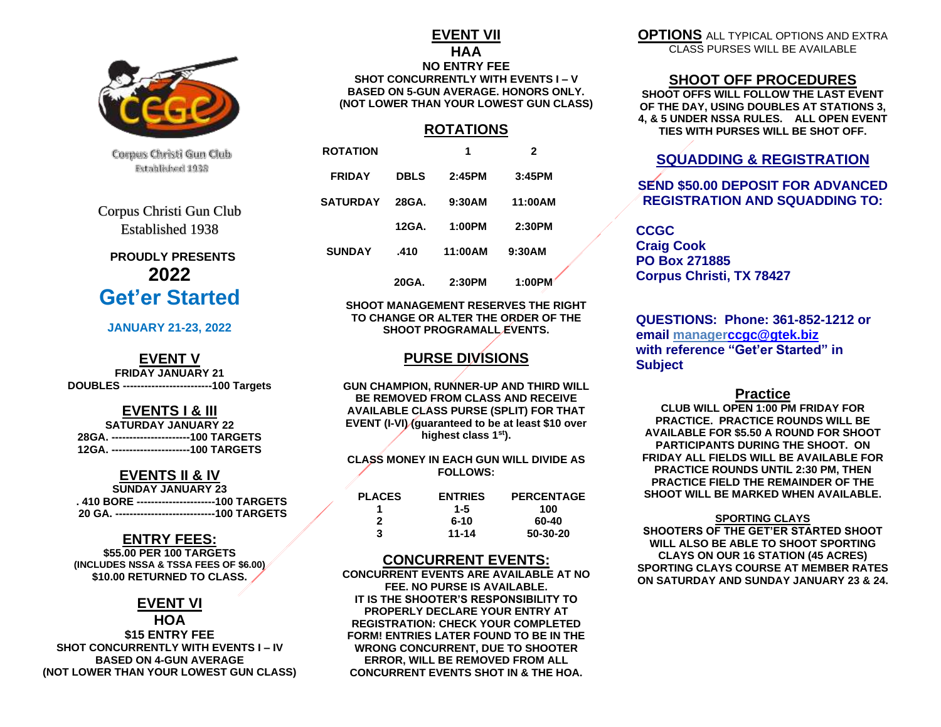

Corpus Christi Gun Club Extablished 1938

Corpus Christi Gun Club Established 1938

# **PROUDLY PRESENTS 2022 Get'er Started**

#### **JANUARY 21-23, 2022**

#### **EVENT V**

**FRIDAY JANUARY 21 DOUBLES -------------------------100 Targets**

## **EVENTS I & III**

**SATURDAY JANUARY 22 28GA. ----------------------100 TARGETS 12GA. ----------------------100 TARGETS**

### **EVENTS II & IV**

| <b>SUNDAY JANUARY 23</b>                         |
|--------------------------------------------------|
| .410 BORE -----------------------100 TARGETS     |
| 20 GA. ------------------------------100 TARGETS |

## **ENTRY FEES:**

**\$55.00 PER 100 TARGETS (INCLUDES NSSA & TSSA FEES OF \$6.00) \$10.00 RETURNED TO CLASS.**

## **EVENT VI**

#### **HOA \$15 ENTRY FEE SHOT CONCURRENTLY WITH EVENTS I – IV BASED ON 4-GUN AVERAGE (NOT LOWER THAN YOUR LOWEST GUN CLASS)**

#### **EVENT VII HAA NO ENTRY FEE SHOT CONCURRENTLY WITH EVENTS I – V BASED ON 5-GUN AVERAGE. HONORS ONLY. (NOT LOWER THAN YOUR LOWEST GUN CLASS)**

## **ROTATIONS**

| <b>ROTATION</b> |             | 1       | 2       |
|-----------------|-------------|---------|---------|
| <b>FRIDAY</b>   | <b>DBLS</b> | 2:45PM  | 3:45PM  |
| <b>SATURDAY</b> | 28GA.       | 9:30AM  | 11:00AM |
|                 | 12GA.       | 1:00PM  | 2:30PM  |
| <b>SUNDAY</b>   | .410        | 11:00AM | 9:30AM  |
|                 | 20GA.       | 2:30PM  | 1:00PM  |

#### **SHOOT MANAGEMENT RESERVES THE RIGHT TO CHANGE OR ALTER THE ORDER OF THE SHOOT PROGRAMALL EVENTS.**

## **PURSE DIVISIONS**

**GUN CHAMPION, RUNNER-UP AND THIRD WILL BE REMOVED FROM CLASS AND RECEIVE AVAILABLE CLASS PURSE (SPLIT) FOR THAT EVENT (I-VI) (guaranteed to be at least \$10 over highest class 1st).**

#### **CLASS MONEY IN EACH GUN WILL DIVIDE AS FOLLOWS:**

| <b>PLACES</b> | <b>ENTRIES</b> | <b>PERCENTAGE</b> |
|---------------|----------------|-------------------|
|               | 1-5            | 100               |
| 2             | 6-10           | 60-40             |
| з             | 11-14          | 50-30-20          |

## **CONCURRENT EVENTS:**

**CONCURRENT EVENTS ARE AVAILABLE AT NO FEE. NO PURSE IS AVAILABLE. IT IS THE SHOOTER'S RESPONSIBILITY TO PROPERLY DECLARE YOUR ENTRY AT REGISTRATION: CHECK YOUR COMPLETED FORM! ENTRIES LATER FOUND TO BE IN THE WRONG CONCURRENT, DUE TO SHOOTER ERROR, WILL BE REMOVED FROM ALL CONCURRENT EVENTS SHOT IN & THE HOA.**

**OPTIONS** ALL TYPICAL OPTIONS AND EXTRA CLASS PURSES WILL BE AVAILABLE

### **SHOOT OFF PROCEDURES**

**SHOOT OFFS WILL FOLLOW THE LAST EVENT OF THE DAY, USING DOUBLES AT STATIONS 3, 4, & 5 UNDER NSSA RULES. ALL OPEN EVENT TIES WITH PURSES WILL BE SHOT OFF.** 

## **SQUADDING & REGISTRATION**

## **SEND \$50.00 DEPOSIT FOR ADVANCED REGISTRATION AND SQUADDING TO:**

**CCGC Craig Cook PO Box 271885 Corpus Christi, TX 78427**

**QUESTIONS: Phone: 361-852-1212 or email manage[rccgc@gtek.biz](mailto:ccgc@gtek.biz) with reference "Get'er Started" in Subject**

#### **Practice**

**CLUB WILL OPEN 1:00 PM FRIDAY FOR PRACTICE. PRACTICE ROUNDS WILL BE AVAILABLE FOR \$5.50 A ROUND FOR SHOOT PARTICIPANTS DURING THE SHOOT. ON FRIDAY ALL FIELDS WILL BE AVAILABLE FOR PRACTICE ROUNDS UNTIL 2:30 PM, THEN PRACTICE FIELD THE REMAINDER OF THE SHOOT WILL BE MARKED WHEN AVAILABLE.**

#### **SPORTING CLAYS**

**SHOOTERS OF THE GET'ER STARTED SHOOT WILL ALSO BE ABLE TO SHOOT SPORTING CLAYS ON OUR 16 STATION (45 ACRES) SPORTING CLAYS COURSE AT MEMBER RATES ON SATURDAY AND SUNDAY JANUARY 23 & 24.**